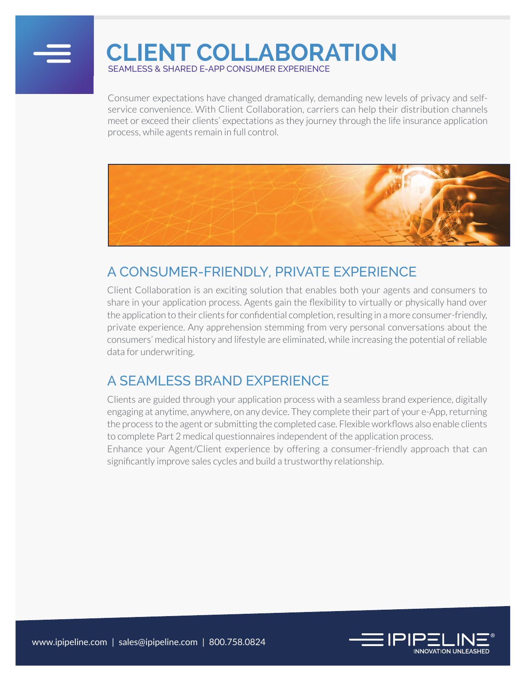

# **CLIENT COLLABORATION**

SEAMLESS & SHARED E-APP CONSUMER EXPERIENCE

Consumer expectations have changed dramatically, demanding new levels of privacy and selfservice convenience. With Client Collaboration, carriers can help their distribution channels meet or exceed their clients' expectations as they journey through the life insurance application process, while agents remain in full control.



### A CONSUMER-FRIENDLY, PRIVATE EXPERIENCE

Client Collaboration is an exciting solution that enables both your agents and consumers to share in your application process. Agents gain the flexibility to virtually or physically hand over the application to their clients for confidential completion, resulting in a more consumer-friendly, private experience. Any apprehension stemming from very personal conversations about the consumers' medical history and lifestyle are eliminated, while increasing the potential of reliable data for underwriting.

#### A SEAMLESS BRAND EXPERIENCE

Clients are guided through your application process with a seamless brand experience, digitally engaging at anytime, anywhere, on any device. They complete their part of your e-App, returning the process to the agent or submitting the completed case. Flexible workflows also enable clients to complete Part 2 medical questionnaires independent of the application process.

Enhance your Agent/Client experience by offering a consumer-friendly approach that can significantly improve sales cycles and build a trustworthy relationship.